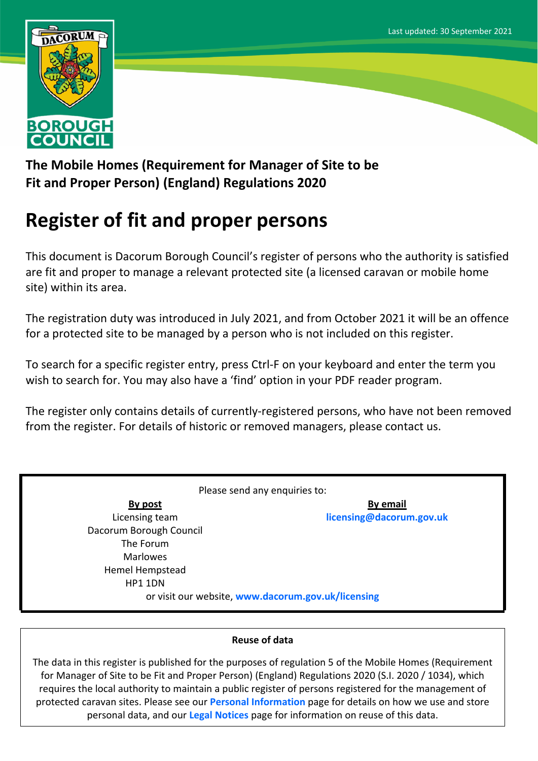

**The Mobile Homes (Requirement for Manager of Site to be Fit and Proper Person) (England) Regulations 2020**

## **Register of fit and proper persons**

This document is Dacorum Borough Council's register of persons who the authority is satisfied are fit and proper to manage a relevant protected site (a licensed caravan or mobile home site) within its area.

The registration duty was introduced in July 2021, and from October 2021 it will be an offence for a protected site to be managed by a person who is not included on this register.

To search for a specific register entry, press Ctrl-F on your keyboard and enter the term you wish to search for. You may also have a 'find' option in your PDF reader program.

The register only contains details of currently-registered persons, who have not been removed from the register. For details of historic or removed managers, please contact us.

Please send any enquiries to: **By post** Licensing team Dacorum Borough Council The Forum Marlowes Hemel Hempstead HP1 1DN **By email [licensing@dacorum.gov.uk](mailto:licensing@dacorum.gov.uk)** or visit our website, **[www.dacorum.gov.uk/licensing](http://www.dacorum.gov.uk/licensing)**

## **Reuse of data**

The data in this register is published for the purposes of regulation 5 of the Mobile Homes (Requirement for Manager of Site to be Fit and Proper Person) (England) Regulations 2020 (S.I. 2020 / 1034), which requires the local authority to maintain a public register of persons registered for the management of protected caravan sites. Please see our **[Personal](http://www.dacorum.gov.uk/home/open-data/personal-information) [Information](http://www.dacorum.gov.uk/home/open-data/personal-information)** page for details on how we use and store personal data, and our **[Legal](http://www.dacorum.gov.uk/home/map-of-dacorum/legal-disclaimers) [Notices](http://www.dacorum.gov.uk/home/map-of-dacorum/legal-disclaimers)** page for information on reuse of this data.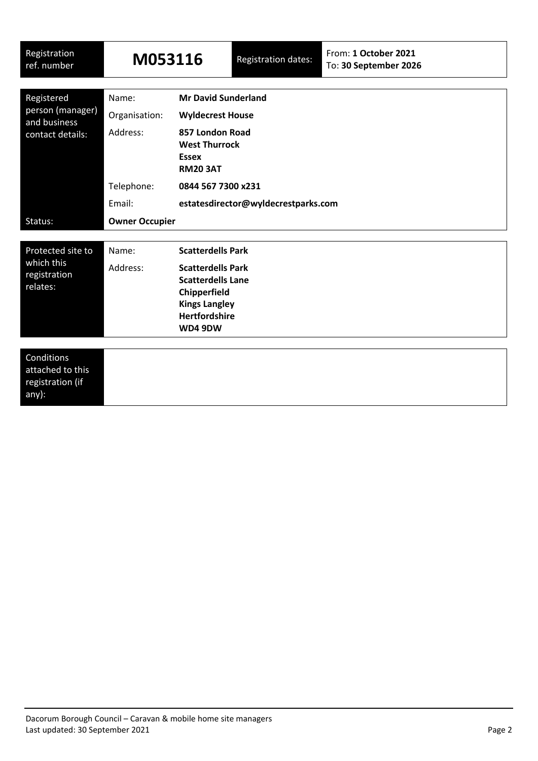| Registration<br>ref. number                                        | M053116               |                                                                            | <b>Registration dates:</b> | From: 1 October 2021<br>To: 30 September 2026 |  |
|--------------------------------------------------------------------|-----------------------|----------------------------------------------------------------------------|----------------------------|-----------------------------------------------|--|
|                                                                    | Name:                 | <b>Mr David Sunderland</b>                                                 |                            |                                               |  |
| Registered<br>person (manager)<br>and business<br>contact details: | Organisation:         | <b>Wyldecrest House</b>                                                    |                            |                                               |  |
|                                                                    | Address:              | 857 London Road<br><b>West Thurrock</b><br><b>Essex</b><br><b>RM20 3AT</b> |                            |                                               |  |
|                                                                    | Telephone:            | 0844 567 7300 x231<br>estatesdirector@wyldecrestparks.com                  |                            |                                               |  |
|                                                                    | Email:                |                                                                            |                            |                                               |  |
| Status:                                                            | <b>Owner Occupier</b> |                                                                            |                            |                                               |  |
|                                                                    |                       |                                                                            |                            |                                               |  |
| Protected site to<br>which this<br>registration                    | Name:                 | <b>Scatterdells Park</b>                                                   |                            |                                               |  |
|                                                                    | Address:              | <b>Scatterdells Park</b>                                                   |                            |                                               |  |
| relates:                                                           |                       | <b>Scatterdells Lane</b>                                                   |                            |                                               |  |
|                                                                    |                       | Chipperfield<br><b>Kings Langley</b>                                       |                            |                                               |  |
|                                                                    |                       | <b>Hertfordshire</b>                                                       |                            |                                               |  |
|                                                                    | WD4 9DW               |                                                                            |                            |                                               |  |
|                                                                    |                       |                                                                            |                            |                                               |  |
| Conditions<br>attached to this<br>registration (if<br>any):        |                       |                                                                            |                            |                                               |  |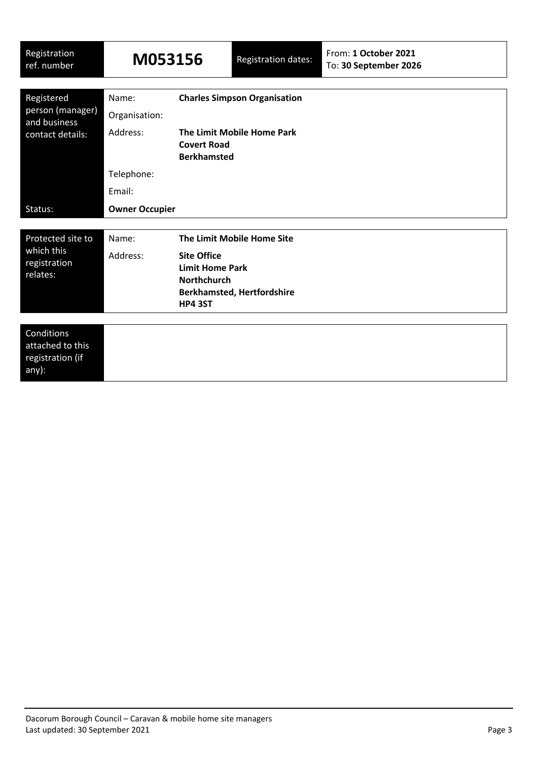| Registration<br>ref. number                                        | M053156                                       |                                                                                                               | <b>Registration dates:</b>                                      | From: 1 October 2021<br>To: 30 September 2026 |
|--------------------------------------------------------------------|-----------------------------------------------|---------------------------------------------------------------------------------------------------------------|-----------------------------------------------------------------|-----------------------------------------------|
| Registered<br>person (manager)<br>and business<br>contact details: | Name:<br>Organisation:<br>Address:            | <b>Charles Simpson Organisation</b><br>The Limit Mobile Home Park<br><b>Covert Road</b><br><b>Berkhamsted</b> |                                                                 |                                               |
| Status:                                                            | Telephone:<br>Email:<br><b>Owner Occupier</b> |                                                                                                               |                                                                 |                                               |
| Protected site to<br>which this<br>registration<br>relates:        | Name:<br>Address:                             | <b>Site Office</b><br><b>Limit Home Park</b><br><b>Northchurch</b><br><b>HP4 3ST</b>                          | The Limit Mobile Home Site<br><b>Berkhamsted, Hertfordshire</b> |                                               |
| Conditions<br>attached to this<br>registration (if<br>any):        |                                               |                                                                                                               |                                                                 |                                               |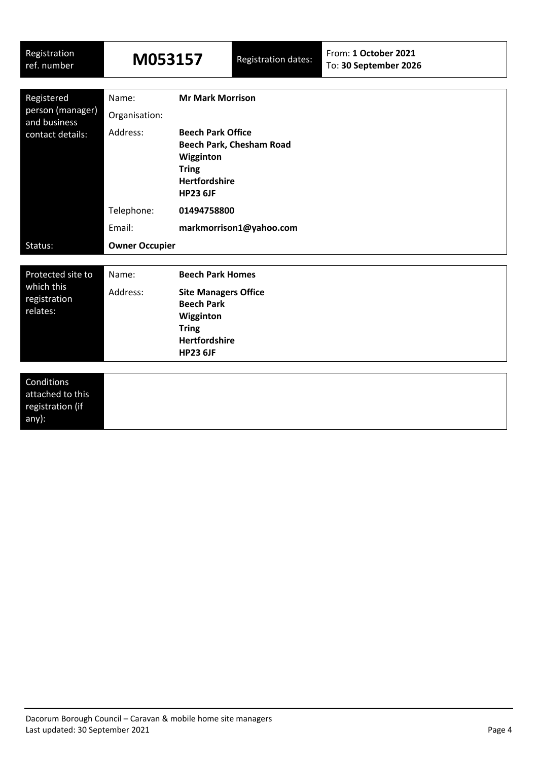| Registration<br>ref. number                                        | M053157                |                                                                                                                                                                | <b>Registration dates:</b> | From: 1 October 2021<br>To: 30 September 2026 |  |
|--------------------------------------------------------------------|------------------------|----------------------------------------------------------------------------------------------------------------------------------------------------------------|----------------------------|-----------------------------------------------|--|
| Registered<br>person (manager)<br>and business<br>contact details: | Name:<br>Organisation: | <b>Mr Mark Morrison</b><br><b>Beech Park Office</b><br><b>Beech Park, Chesham Road</b><br>Wigginton<br><b>Tring</b><br><b>Hertfordshire</b><br><b>HP23 6JF</b> |                            |                                               |  |
|                                                                    | Address:               |                                                                                                                                                                |                            |                                               |  |
|                                                                    | Telephone:             | 01494758800                                                                                                                                                    |                            |                                               |  |
|                                                                    | Email:                 | markmorrison1@yahoo.com                                                                                                                                        |                            |                                               |  |
| Status:                                                            | <b>Owner Occupier</b>  |                                                                                                                                                                |                            |                                               |  |
| Protected site to<br>which this<br>registration<br>relates:        | Name:<br>Address:      | <b>Beech Park Homes</b><br><b>Site Managers Office</b><br><b>Beech Park</b><br>Wigginton<br><b>Tring</b><br><b>Hertfordshire</b>                               |                            |                                               |  |
| Conditions<br>attached to this<br>registration (if<br>any):        |                        | <b>HP23 6JF</b>                                                                                                                                                |                            |                                               |  |